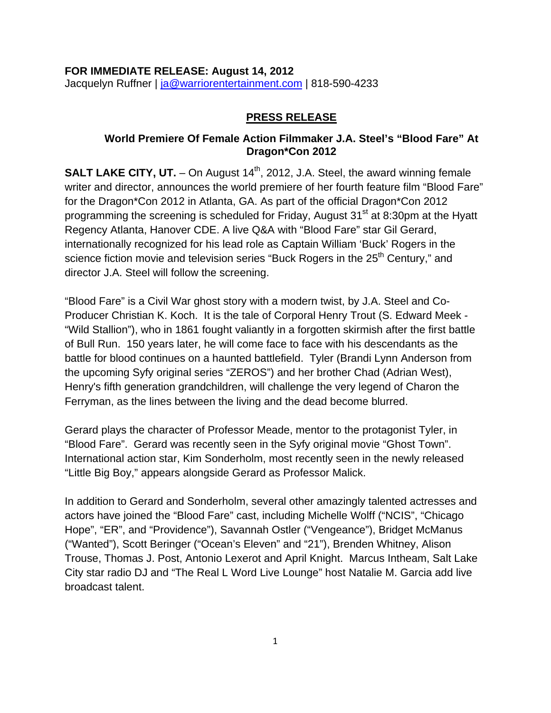#### **FOR IMMEDIATE RELEASE: August 14, 2012**  Jacquelyn Ruffner | [ja@warriorentertainment.com](mailto:ja@warriorentertainment.com) | 818-590-4233

#### **PRESS RELEASE**

### **World Premiere Of Female Action Filmmaker J.A. Steel's "Blood Fare" At Dragon\*Con 2012**

**SALT LAKE CITY, UT.**  $-$  On August  $14<sup>th</sup>$ , 2012, J.A. Steel, the award winning female writer and director, announces the world premiere of her fourth feature film "Blood Fare" for the Dragon\*Con 2012 in Atlanta, GA. As part of the official Dragon\*Con 2012 programming the screening is scheduled for Friday, August 31<sup>st</sup> at 8:30pm at the Hyatt Regency Atlanta, Hanover CDE. A live Q&A with "Blood Fare" star Gil Gerard, internationally recognized for his lead role as Captain William 'Buck' Rogers in the science fiction movie and television series "Buck Rogers in the 25<sup>th</sup> Century," and director J.A. Steel will follow the screening.

"Blood Fare" is a Civil War ghost story with a modern twist, by J.A. Steel and Co-Producer Christian K. Koch. It is the tale of Corporal Henry Trout (S. Edward Meek - "Wild Stallion"), who in 1861 fought valiantly in a forgotten skirmish after the first battle of Bull Run. 150 years later, he will come face to face with his descendants as the battle for blood continues on a haunted battlefield. Tyler (Brandi Lynn Anderson from the upcoming Syfy original series "ZEROS") and her brother Chad (Adrian West), Henry's fifth generation grandchildren, will challenge the very legend of Charon the Ferryman, as the lines between the living and the dead become blurred.

Gerard plays the character of Professor Meade, mentor to the protagonist Tyler, in "Blood Fare". Gerard was recently seen in the Syfy original movie "Ghost Town". International action star, Kim Sonderholm, most recently seen in the newly released "Little Big Boy," appears alongside Gerard as Professor Malick.

In addition to Gerard and Sonderholm, several other amazingly talented actresses and actors have joined the "Blood Fare" cast, including Michelle Wolff ("NCIS", "Chicago Hope", "ER", and "Providence"), Savannah Ostler ("Vengeance"), Bridget McManus ("Wanted"), Scott Beringer ("Ocean's Eleven" and "21"), Brenden Whitney, Alison Trouse, Thomas J. Post, Antonio Lexerot and April Knight. Marcus Intheam, Salt Lake City star radio DJ and "The Real L Word Live Lounge" host Natalie M. Garcia add live broadcast talent.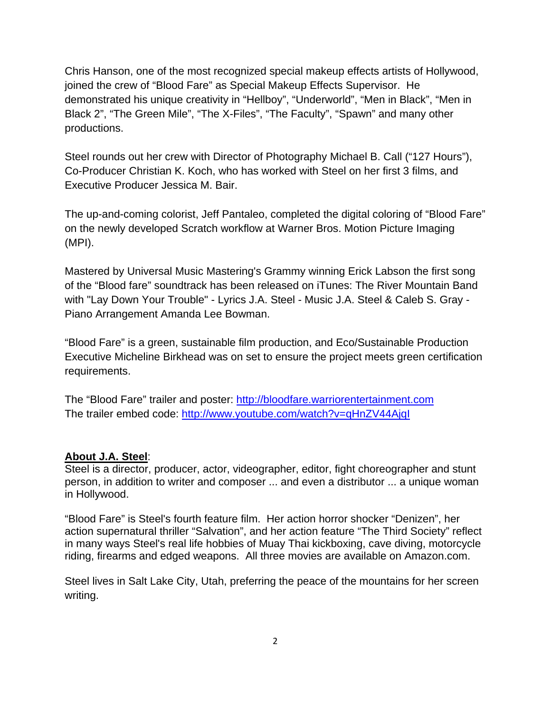Chris Hanson, one of the most recognized special makeup effects artists of Hollywood, joined the crew of "Blood Fare" as Special Makeup Effects Supervisor. He demonstrated his unique creativity in "Hellboy", "Underworld", "Men in Black", "Men in Black 2", "The Green Mile", "The X-Files", "The Faculty", "Spawn" and many other productions.

Steel rounds out her crew with Director of Photography Michael B. Call ("127 Hours"), Co-Producer Christian K. Koch, who has worked with Steel on her first 3 films, and Executive Producer Jessica M. Bair.

The up-and-coming colorist, Jeff Pantaleo, completed the digital coloring of "Blood Fare" on the newly developed Scratch workflow at Warner Bros. Motion Picture Imaging (MPI).

Mastered by Universal Music Mastering's Grammy winning Erick Labson the first song of the "Blood fare" soundtrack has been released on iTunes: The River Mountain Band with "Lay Down Your Trouble" - Lyrics J.A. Steel - Music J.A. Steel & Caleb S. Gray - Piano Arrangement Amanda Lee Bowman.

"Blood Fare" is a green, sustainable film production, and Eco/Sustainable Production Executive Micheline Birkhead was on set to ensure the project meets green certification requirements.

The "Blood Fare" trailer and poster: [http://bloodfare.warriorentertainment.com](http://bloodfare.warriorentertainment.com/) The trailer embed code:<http://www.youtube.com/watch?v=qHnZV44AjqI>

### **About J.A. Steel**:

Steel is a director, producer, actor, videographer, editor, fight choreographer and stunt person, in addition to writer and composer ... and even a distributor ... a unique woman in Hollywood.

"Blood Fare" is Steel's fourth feature film. Her action horror shocker "Denizen", her action supernatural thriller "Salvation", and her action feature "The Third Society" reflect in many ways Steel's real life hobbies of Muay Thai kickboxing, cave diving, motorcycle riding, firearms and edged weapons. All three movies are available on Amazon.com.

Steel lives in Salt Lake City, Utah, preferring the peace of the mountains for her screen writing.